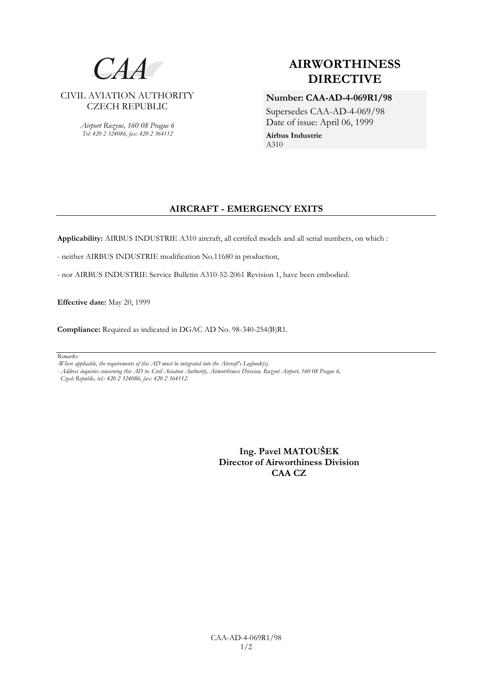

*Airport Ruzyne, 160 08 Prague 6 Tel: 420 2 324086, fax: 420 2 364112*

# **AIRWORTHINESS DIRECTIVE**

**Number: CAA-AD-4-069R1/98** Supersedes CAA-AD-4-069/98 Date of issue: April 06, 1999 **Airbus Industrie**

A310

# **AIRCRAFT - EMERGENCY EXITS**

**Applicability:** AIRBUS INDUSTRIE A310 aircraft, all certifed models and all serial numbers, on which :

- neither AIRBUS INDUSTRIE modification No.11680 in production,

- nor AIRBUS INDUSTRIE Service Bulletin A310-52-2061 Revision 1, have been embodied.

**Effective date:** May 20, 1999

**Compliance:** Required as indicated in DGAC AD No. 98-340-254(B)R1.

#### *Remarks:*

*- Address inquiries concerning this AD to: Civil Aviation Authority, Airworthiness Division, Ruzyně Airport, 160 08 Prague 6,*

 *Czech Republic, tel.: 420 2 324086, fax: 420 2 364112.*

**Ing. Pavel MATOUŠEK Director of Airworthiness Division CAA CZ**

*<sup>-</sup>Where applicable, the requirements of this AD must be integrated into the Aircraft's Logbook(s).*